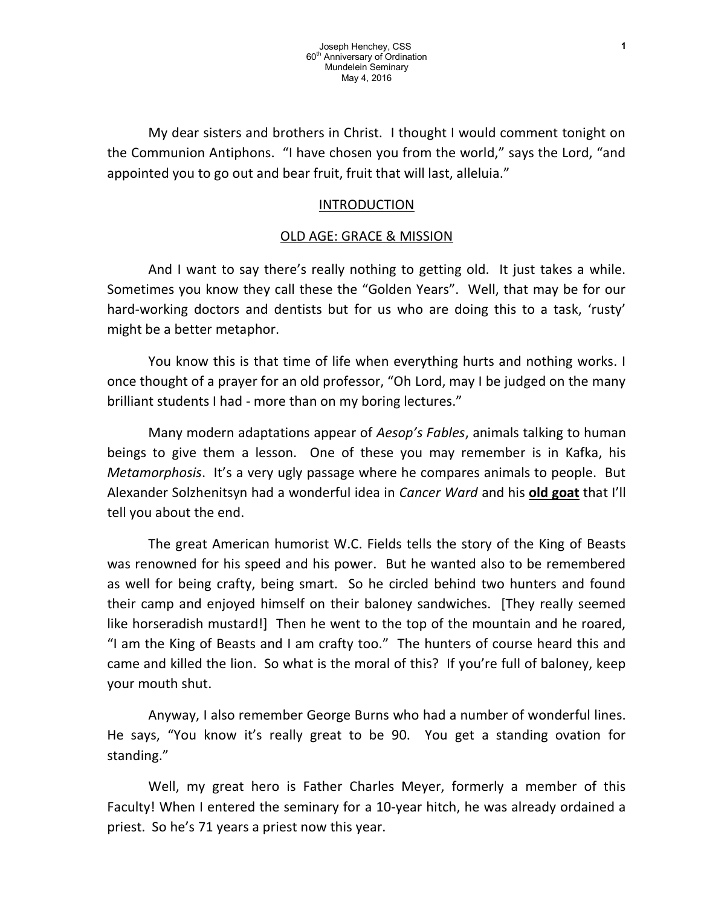My dear sisters and brothers in Christ. I thought I would comment tonight on the Communion Antiphons. "I have chosen you from the world," says the Lord, "and appointed you to go out and bear fruit, fruit that will last, alleluia."

## INTRODUCTION

## OLD AGE: GRACE & MISSION

And I want to say there's really nothing to getting old. It just takes a while. Sometimes you know they call these the "Golden Years". Well, that may be for our hard-working doctors and dentists but for us who are doing this to a task, 'rusty' might be a better metaphor.

You know this is that time of life when everything hurts and nothing works. I once thought of a prayer for an old professor, "Oh Lord, may I be judged on the many brilliant students I had - more than on my boring lectures."

Many modern adaptations appear of *Aesop's Fables*, animals talking to human beings to give them a lesson. One of these you may remember is in Kafka, his Metamorphosis. It's a very ugly passage where he compares animals to people. But Alexander Solzhenitsyn had a wonderful idea in Cancer Ward and his old goat that I'll tell you about the end.

The great American humorist W.C. Fields tells the story of the King of Beasts was renowned for his speed and his power. But he wanted also to be remembered as well for being crafty, being smart. So he circled behind two hunters and found their camp and enjoyed himself on their baloney sandwiches. [They really seemed like horseradish mustard!] Then he went to the top of the mountain and he roared, "I am the King of Beasts and I am crafty too." The hunters of course heard this and came and killed the lion. So what is the moral of this? If you're full of baloney, keep your mouth shut.

Anyway, I also remember George Burns who had a number of wonderful lines. He says, "You know it's really great to be 90. You get a standing ovation for standing."

Well, my great hero is Father Charles Meyer, formerly a member of this Faculty! When I entered the seminary for a 10-year hitch, he was already ordained a priest. So he's 71 years a priest now this year.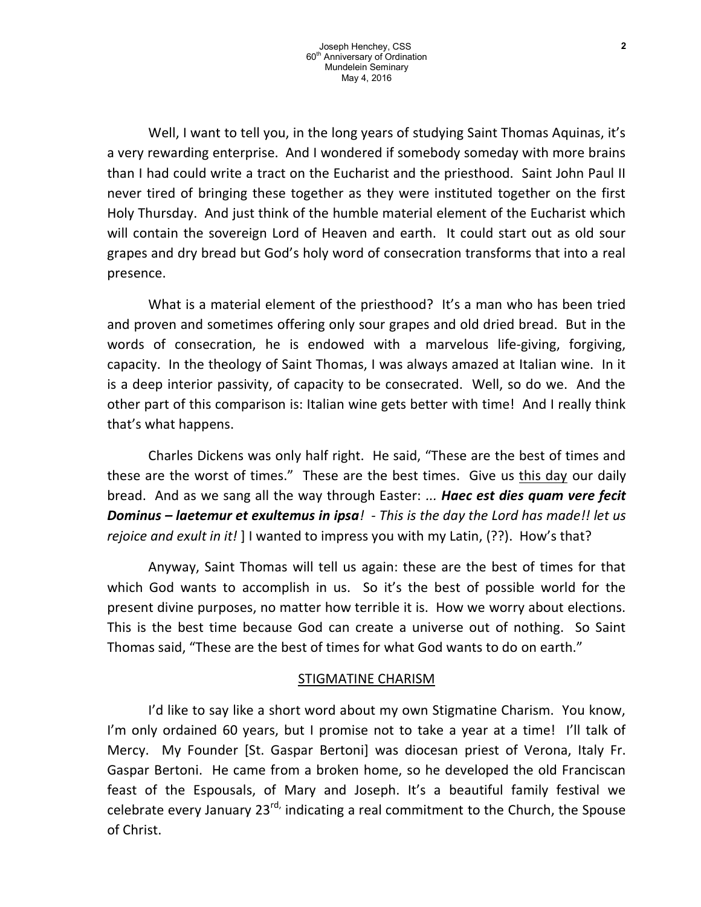Well, I want to tell you, in the long years of studying Saint Thomas Aquinas, it's a very rewarding enterprise. And I wondered if somebody someday with more brains than I had could write a tract on the Eucharist and the priesthood. Saint John Paul II never tired of bringing these together as they were instituted together on the first Holy Thursday. And just think of the humble material element of the Eucharist which will contain the sovereign Lord of Heaven and earth. It could start out as old sour grapes and dry bread but God's holy word of consecration transforms that into a real presence.

What is a material element of the priesthood? It's a man who has been tried and proven and sometimes offering only sour grapes and old dried bread. But in the words of consecration, he is endowed with a marvelous life-giving, forgiving, capacity. In the theology of Saint Thomas, I was always amazed at Italian wine. In it is a deep interior passivity, of capacity to be consecrated. Well, so do we. And the other part of this comparison is: Italian wine gets better with time! And I really think that's what happens.

Charles Dickens was only half right. He said, "These are the best of times and these are the worst of times." These are the best times. Give us this day our daily bread. And as we sang all the way through Easter: ... Haec est dies quam vere fecit Dominus – laetemur et exultemus in ipsa! - This is the day the Lord has made!! let us rejoice and exult in it!  $\vert\vert$  I wanted to impress you with my Latin, (??). How's that?

Anyway, Saint Thomas will tell us again: these are the best of times for that which God wants to accomplish in us. So it's the best of possible world for the present divine purposes, no matter how terrible it is. How we worry about elections. This is the best time because God can create a universe out of nothing. So Saint Thomas said, "These are the best of times for what God wants to do on earth."

## STIGMATINE CHARISM

I'd like to say like a short word about my own Stigmatine Charism. You know, I'm only ordained 60 years, but I promise not to take a year at a time! I'll talk of Mercy. My Founder [St. Gaspar Bertoni] was diocesan priest of Verona, Italy Fr. Gaspar Bertoni. He came from a broken home, so he developed the old Franciscan feast of the Espousals, of Mary and Joseph. It's a beautiful family festival we celebrate every January  $23^{rd}$ , indicating a real commitment to the Church, the Spouse of Christ.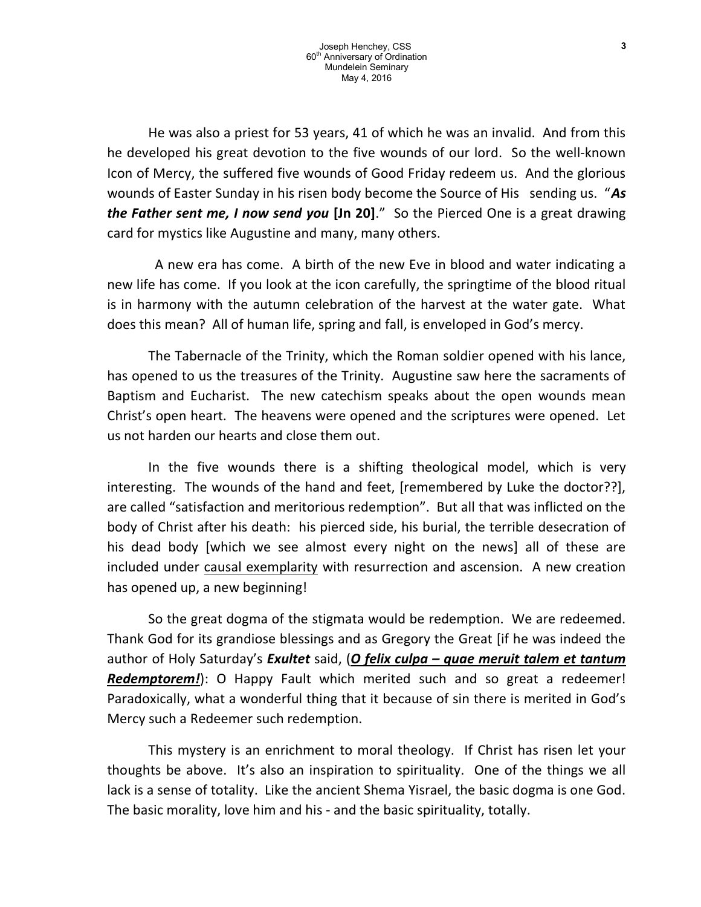He was also a priest for 53 years, 41 of which he was an invalid. And from this he developed his great devotion to the five wounds of our lord. So the well-known Icon of Mercy, the suffered five wounds of Good Friday redeem us. And the glorious wounds of Easter Sunday in his risen body become the Source of His sending us. "As the Father sent me, I now send you [Jn 20]." So the Pierced One is a great drawing card for mystics like Augustine and many, many others.

 A new era has come. A birth of the new Eve in blood and water indicating a new life has come. If you look at the icon carefully, the springtime of the blood ritual is in harmony with the autumn celebration of the harvest at the water gate. What does this mean? All of human life, spring and fall, is enveloped in God's mercy.

The Tabernacle of the Trinity, which the Roman soldier opened with his lance, has opened to us the treasures of the Trinity. Augustine saw here the sacraments of Baptism and Eucharist. The new catechism speaks about the open wounds mean Christ's open heart. The heavens were opened and the scriptures were opened. Let us not harden our hearts and close them out.

In the five wounds there is a shifting theological model, which is very interesting. The wounds of the hand and feet, [remembered by Luke the doctor??], are called "satisfaction and meritorious redemption". But all that was inflicted on the body of Christ after his death: his pierced side, his burial, the terrible desecration of his dead body [which we see almost every night on the news] all of these are included under causal exemplarity with resurrection and ascension. A new creation has opened up, a new beginning!

So the great dogma of the stigmata would be redemption. We are redeemed. Thank God for its grandiose blessings and as Gregory the Great [if he was indeed the author of Holy Saturday's Exultet said, (O felix culpa – quae meruit talem et tantum Redemptorem!): O Happy Fault which merited such and so great a redeemer! Paradoxically, what a wonderful thing that it because of sin there is merited in God's Mercy such a Redeemer such redemption.

This mystery is an enrichment to moral theology. If Christ has risen let your thoughts be above. It's also an inspiration to spirituality. One of the things we all lack is a sense of totality. Like the ancient Shema Yisrael, the basic dogma is one God. The basic morality, love him and his - and the basic spirituality, totally.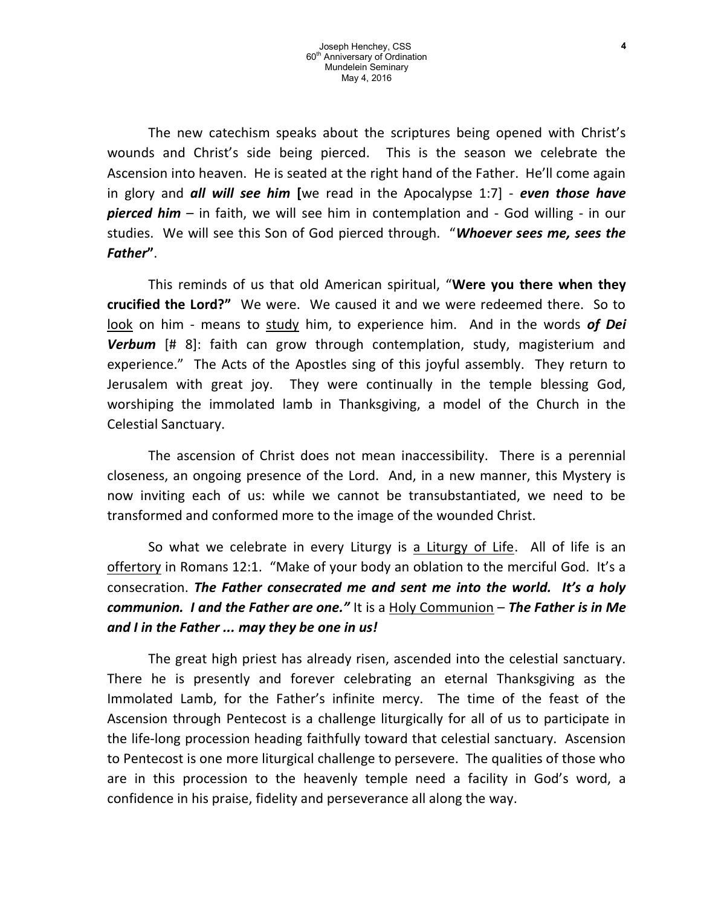The new catechism speaks about the scriptures being opened with Christ's wounds and Christ's side being pierced. This is the season we celebrate the Ascension into heaven. He is seated at the right hand of the Father. He'll come again in glory and **all will see him** [we read in the Apocalypse 1:7] - even those have pierced him - in faith, we will see him in contemplation and - God willing - in our studies. We will see this Son of God pierced through. "Whoever sees me, sees the Father".

This reminds of us that old American spiritual, "Were you there when they crucified the Lord?" We were. We caused it and we were redeemed there. So to look on him - means to study him, to experience him. And in the words of Dei **Verbum**  $[H 8]$ : faith can grow through contemplation, study, magisterium and experience." The Acts of the Apostles sing of this joyful assembly. They return to Jerusalem with great joy. They were continually in the temple blessing God, worshiping the immolated lamb in Thanksgiving, a model of the Church in the Celestial Sanctuary.

The ascension of Christ does not mean inaccessibility. There is a perennial closeness, an ongoing presence of the Lord. And, in a new manner, this Mystery is now inviting each of us: while we cannot be transubstantiated, we need to be transformed and conformed more to the image of the wounded Christ.

So what we celebrate in every Liturgy is a Liturgy of Life. All of life is an offertory in Romans 12:1. "Make of your body an oblation to the merciful God. It's a consecration. The Father consecrated me and sent me into the world. It's a holy communion. I and the Father are one." It is a Holy Communion - The Father is in Me and I in the Father ... may they be one in us!

The great high priest has already risen, ascended into the celestial sanctuary. There he is presently and forever celebrating an eternal Thanksgiving as the Immolated Lamb, for the Father's infinite mercy. The time of the feast of the Ascension through Pentecost is a challenge liturgically for all of us to participate in the life-long procession heading faithfully toward that celestial sanctuary. Ascension to Pentecost is one more liturgical challenge to persevere. The qualities of those who are in this procession to the heavenly temple need a facility in God's word, a confidence in his praise, fidelity and perseverance all along the way.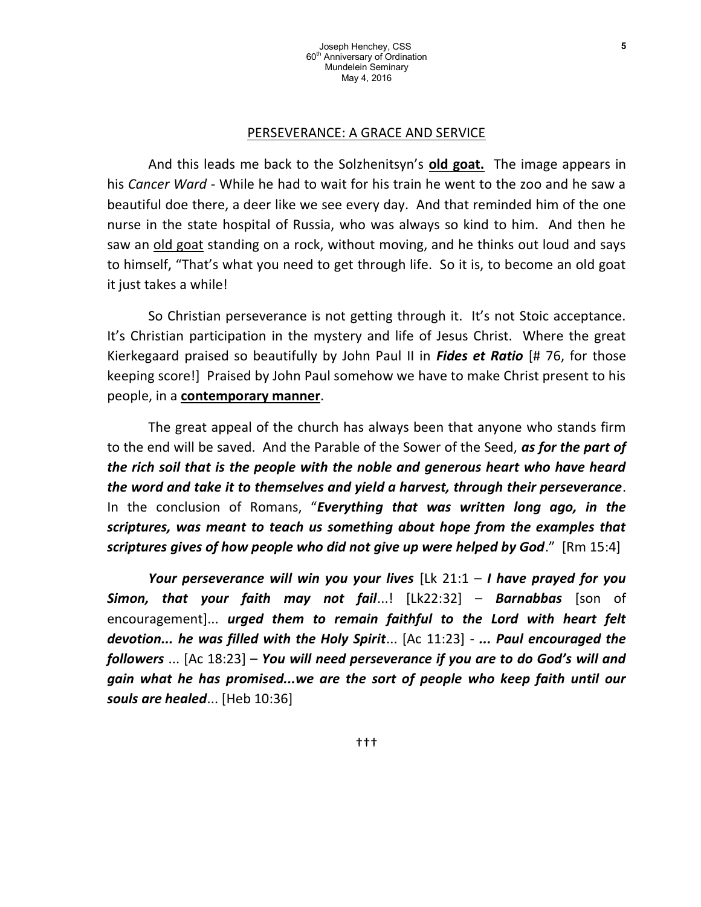#### PERSEVERANCE: A GRACE AND SERVICE

And this leads me back to the Solzhenitsyn's **old goat.** The image appears in his Cancer Ward - While he had to wait for his train he went to the zoo and he saw a beautiful doe there, a deer like we see every day. And that reminded him of the one nurse in the state hospital of Russia, who was always so kind to him. And then he saw an old goat standing on a rock, without moving, and he thinks out loud and says to himself, "That's what you need to get through life. So it is, to become an old goat it just takes a while!

So Christian perseverance is not getting through it. It's not Stoic acceptance. It's Christian participation in the mystery and life of Jesus Christ. Where the great Kierkegaard praised so beautifully by John Paul II in *Fides et Ratio* [# 76, for those keeping score!] Praised by John Paul somehow we have to make Christ present to his people, in a **contemporary manner**.

The great appeal of the church has always been that anyone who stands firm to the end will be saved. And the Parable of the Sower of the Seed, as for the part of the rich soil that is the people with the noble and generous heart who have heard the word and take it to themselves and yield a harvest, through their perseverance. In the conclusion of Romans, "Everything that was written long ago, in the scriptures, was meant to teach us something about hope from the examples that scriptures gives of how people who did not give up were helped by God." [Rm 15:4]

Your perseverance will win you your lives  $[lk 21:1 - I$  have prayed for you **Simon, that your faith may not fail...!**  $[Lk22:32] -$  **Barnabbas** [son of encouragement]... urged them to remain faithful to the Lord with heart felt devotion... he was filled with the Holy Spirit... [Ac 11:23] - ... Paul encouraged the followers ... [Ac 18:23] – You will need perseverance if you are to do God's will and gain what he has promised...we are the sort of people who keep faith until our souls are healed... [Heb 10:36]

5